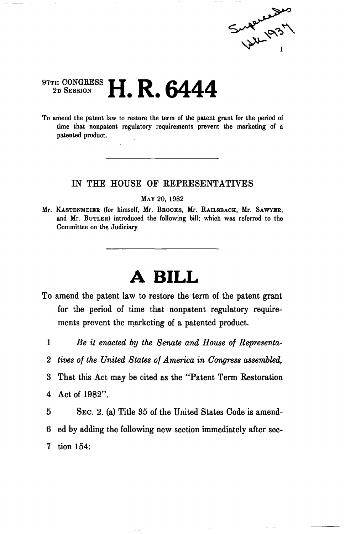

## 97TH CONGRESS<br>2D SESSION 2D SESSION **H. R. 6444**

To amend the patent law to restore the term of the patent grant for the period of time that nonpatent regulatory requirements prevent the marketing of a patented product.

## IN THE HOUSE OF REPRESENTATIVES

MAY 20, 1982

Mr. KASTENMEIER (for himself, Mr. BROOKS, Mr. RAILSBACK, Mr. SAWYER, and Mr. BUTLER) introduced the following bill; which was referred to the Committee on the Judiciary

## **A BILL**

- To amend the patent law to restore the term of the patent grant for the period of time that nonpatent regulatory requirements prevent the marketing of a patented product.
	- 1 *Be it enacted by the Senate and House of Representa-*
	- 2 *tives of the United States of America in Congress assembled,*
	- 3 That this Act may be cited as the "Patent Term Restoration 4 Act of 1982".

5 SEC. 2. (a) Title 35 of the United States Code is amend-6 ed by adding the following new section immediately after sec-7 tion 154: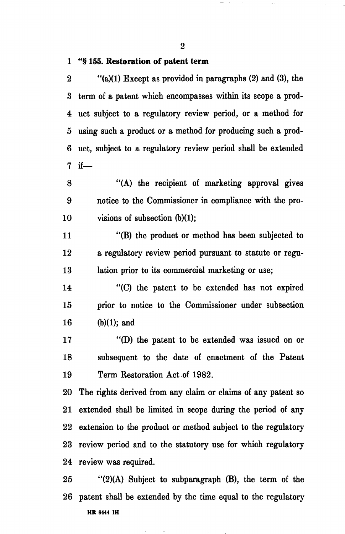2

## 1 "§ 155. Restoration of patent term

2  $"$ (a)(1) Except as provided in paragraphs (2) and (3), the 3 term of a patent which encompasses within its scope a prod-4 uct subject to a regulatory review period, or a method for 5 using such a product or a method for producing such a prod-6 uct, subject to a regulatory review period shall be extended 7 if—

8 "(A) the recipient of marketing approval gives 9 notice to the Commissioner in compliance with the pro-10 visions of subsection (b)(1);

11 "(B) the product or method has been subjected to 12 a regulatory review period pursuant to statute or regu-13 lation prior to its commercial marketing or use;

14 "(C) the patent to be extended has not expired 15 prior to notice to the Commissioner under subsection 16 (b)(1); and

17 "(D) the patent to be extended was issued on or 18 subsequent to the date of enactment of the Patent 19 Term Restoration Act of 1982.

20 The rights derived from any claim or claims of any patent so 21 extended shall be limited in scope during the period of any 22 extension to the product or method subject to the regulatory 23 review period and to the statutory use for which regulatory 24 review was required.

25 "(2)(A) Subject to subparagraph (B), the term of the 26 patent shall be extended by the time equal to the regulatory **HR 6444 IH**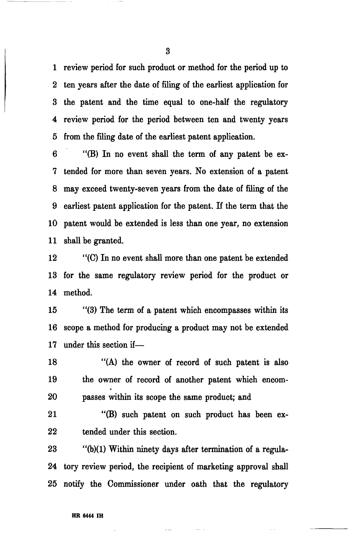1 review period for such product or method for the period up to 2 ten years after the date of filing of the earliest application for 3 the patent and the time equal to one-half the regulatory 4 review period for the period between ten and twenty years 5 from the filing date of the earliest patent application.

6 "(B) In no event shall the term of any patent be ex-7 tended for more than seven years. No extension of a patent 8 may exceed twenty-seven years from the date of filing of the 9 earliest patent application for the patent. If the term that the 10 patent would be extended is less than one year, no extension 11 shall be granted.

12 "(C) In no event shall more than one patent be extended 13 for the same regulatory review period for the product or 14 method.

15 "(3) The term of a patent which encompasses within its 16 scope a method for producing a product may not be extended 17 under this section if—

18 "(A) the owner of record of such patent is also 19 the owner of record of another patent which encom-20 passes within its scope the same product; and

21 "(B) such patent on such product has been ex-22 tended under this section.

23 "(b)(1) Within ninety days after termination of a regula-24 tory review period, the recipient of marketing approval shall 25 notify the Commissioner under oath that the regulatory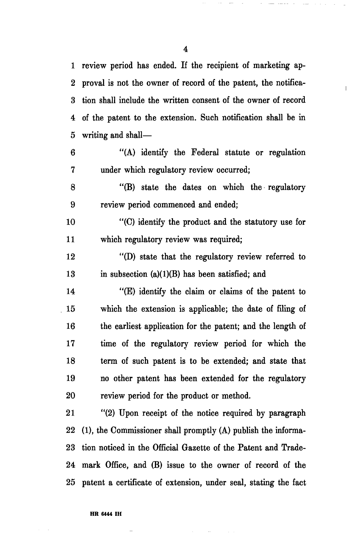1 review period has ended. If the recipient of marketing ap-2 proval is not the owner of record of the patent, the notifica-3 tion shall include the written consent of the owner of record 4 of the patent to the extension. Such notification shall be in 5 writing and shall—

6 "(A) identify the Federal statute or regulation 7 under which regulatory review occurred;

8 "(B) state the dates on which the regulatory 9 review period commenced and ended;

10 "(C) identify the product and the statutory use for 11 which regulatory review was required;

12 "(D) state that the regulatory review referred to 13 in subsection  $(a)(1)(B)$  has been satisfied; and

14 "(E) identify the claim or claims of the patent to 15 which the extension is applicable; the date of filing of 16 the earliest application for the patent; and the length of 17 time of the regulatory review period for which the 18 term of such patent is to be extended; and state that 19 no other patent has been extended for the regulatory 20 review period for the product or method.

21 "(2) Upon receipt of the notice required by paragraph  $22$  (1), the Commissioner shall promptly (A) publish the informa-23 tion noticed in the Official Gazette of the Patent and Trade-24 mark Office, and (B) issue to the owner of record of the 25 patent a certificate of extension, under seal, stating the fact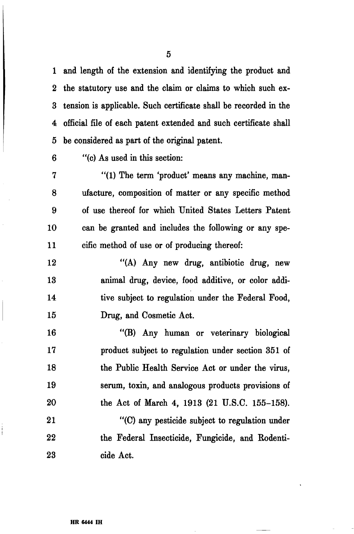1 and length of the extension and identifying the product and 2 the statutory use and the claim or claims to which such ex-3 tension is applicable. Such certificate shall be recorded in the 4 official file of each patent extended and such certificate shall 5 be considered as part of the original patent.

6 "(c) As used in this section:

7 "(1) The term 'product' means any machine, man-8 ufacture, composition of matter or any specific method 9 of use thereof for which United States Letters Patent 10 can be granted and includes the following or any spe-11 cific method of use or of producing thereof:

12 "(A) Any new drug, antibiotic drug, new 13 animal drug, device, food additive, or color addi-14 tive subject to regulation under the Federal Food, 15 Drug, and Cosmetic Act.

16 "(B) Any human or veterinary biological 17 product subject to regulation under section 351 of 18 the Public Health Service Act or under the virus, 19 serum, toxin, and analogous products provisions of 20 the Act of March 4, 1913 (21 U.S.C. 155-158). 21 "(C) any pesticide subject to regulation under

22 the Federal Insecticide, Fungicide, and Rodenti-23 cide Act.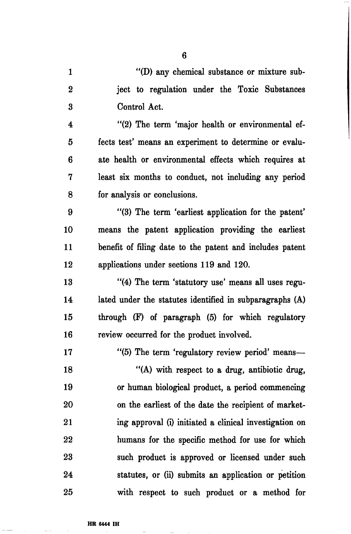1 "(D) any chemical substance or mixture sub-2 ject to regulation under the Toxic Substances 3 Control Act.

6

4 "(2) The term 'major health or environmental ef-5 fects test' means an experiment to determine or evalu-6 ate health or environmental effects which requires at 7 least six months to conduct, not including any period 8 for analysis or conclusions.

9 "(3) The term 'earliest application for the patent' 10 means the patent application providing the earliest 11 benefit of filing date to the patent and includes patent 12 applications under sections 119 and 120.

13 "(4) The term 'statutory use' means all uses regu-14 lated under the statutes identified in subparagraphs (A) 15 through (F) of paragraph (5) for which regulatory 16 review occurred for the product involved.

17 "(5) The term 'regulatory review period' means— 18 "(A) with respect to a drug, antibiotic drug, 19 or human biological product, a period commencing 20 on the earliest of the date the recipient of market-21 ing approval (i) initiated a clinical investigation on 22 humans for the specific method for use for which 23 such product is approved or licensed under such 24 statutes, or (ii) submits an application or petition 25 with respect to such product or a method for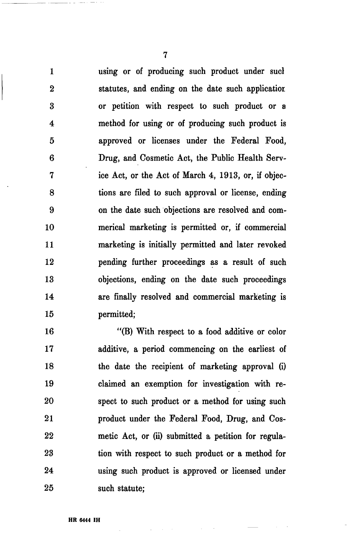1 using or of producing such product under sucl 2 statutes, and ending on the date such applicatior. 3 or petition with respect to such product or a 4 method for using or of producing such product is 5 approved or licenses under the Federal Food, 6 Drug, and Cosmetic Act, the Public Health Serv-7 ice Act, or the Act of March 4, 1913, or, if objec-8 tions are filed to such approval or license, ending 9 on the date such objections are resolved and com-10 merical marketing is permitted or, if commercial 11 marketing is initially permitted and later revoked 12 pending further proceedings as a result of such 13 objections, ending on the date such proceedings 14 are finally resolved and commercial marketing is 15 permitted;

16 "(B) With respect to a food additive or color 17 additive, a period commencing on the earliest of 18 the date the recipient of marketing approval (i) 19 claimed an exemption for investigation with re-20 spect to such product or a method for using such 21 product under the Federal Food, Drug, and Cos-22 metic Act, or (ii) submitted a petition for regula-23 tion with respect to such product or a method for 24 using such product is approved or licensed under 25 such statute;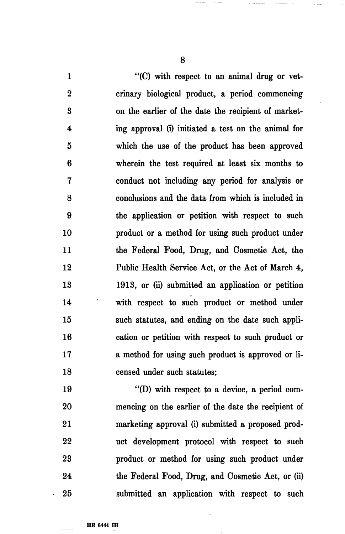1 "(C) with respect to an animal drug or vet-2 erinary biological product, a period commencing 3 on the earlier of the date the recipient of market-4 ing approval (i) initiated a test on the animal for 5 which the use of the product has been approved 6 wherein the test required at least six months to 7 conduct not including any period for analysis or 8 conclusions and the data from which is included in 9 the application or petition with respect to such 10 product or a method for using such product under 11 the Federal Food, Drug, and Cosmetic Act, the 12 Public Health Service Act, or the Act of March 4, 13 1913, or (ii) submitted an application or petition 14 with respect to such product or method under 15 such statutes, and ending on the date such appli-16 cation or petition with respect to such product or 17 a method for using such product is approved or li-18 censed under such statutes;

19 "(D) with respect to a device, a period com-20 mencing on the earlier of the date the recipient of 21 marketing approval (i) submitted a proposed prod-22 uct development protocol with respect to such 23 product or method for using such product under 24 the Federal Food, Drug, and Cosmetic Act, or (ii) 25 submitted an application with respect to such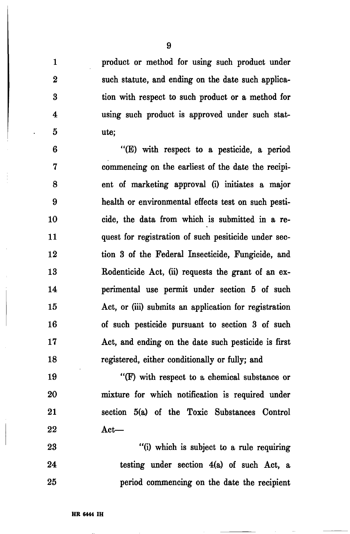1 product or method for using such product under 2 such statute, and ending on the date such applica-3 tion with respect to such product or a method for 4 using such product is approved under such stat-5 ute;

6 "(E) with respect to a pesticide, a period 7 commencing on the earliest of the date the recipi-8 ent of marketing approval (i) initiates a major 9 health or environmental effects test on such pesti-10 cide, the data from which is submitted in a re-11 quest for registration of such pesiticide under sec-12 tion 3 of the Federal Insecticide, Fungicide, and 13 Rodenticide Act, (ii) requests the grant of an ex-14 perimental use permit under section 5 of such 15 Act, or (iii) submits an application for registration 16 of such pesticide pursuant to section 3 of such 17 Act, and ending on the date such pesticide is first 18 registered, either conditionally or fully; and

19 "(F) with respect to a chemical substance or 20 mixture for which notification is required under 21 section 5(a) of the Toxic Substances Control 22 Act—

23 "(i) which is subject to a rule requiring 24 testing under section 4(a) of such Act, a 25 period commencing on the date the recipient

9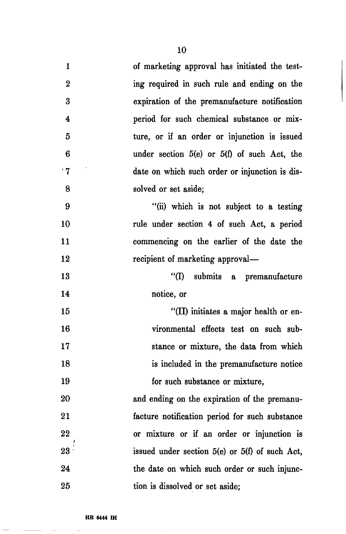| $\mathbf{1}$     | of marketing approval has initiated the test-      |
|------------------|----------------------------------------------------|
| $\bf{2}$         | ing required in such rule and ending on the        |
| 3                | expiration of the premanufacture notification      |
| $\boldsymbol{4}$ | period for such chemical substance or mix-         |
| $\overline{5}$   | ture, or if an order or injunction is issued       |
| 6                | under section $5(e)$ or $5(f)$ of such Act, the    |
| $^{\circ}7$      | date on which such order or injunction is dis-     |
| 8                | solved or set aside;                               |
| 9                | "(ii) which is not subject to a testing            |
| 10               | rule under section 4 of such Act, a period         |
| 11               | commencing on the earlier of the date the          |
| 12               | recipient of marketing approval—                   |
| 13               | "(I) submits a premanufacture                      |
| 14               | notice, or                                         |
| 15               | "(II) initiates a major health or en-              |
| 16               | vironmental effects test on such sub-              |
| 17               | stance or mixture, the data from which             |
| 18               | is included in the premanufacture notice           |
| 19               | for such substance or mixture,                     |
| 20               | and ending on the expiration of the premanu-       |
| 21               | facture notification period for such substance     |
| 22               | or mixture or if an order or injunction is         |
| $23 -$           | issued under section $5(e)$ or $5(f)$ of such Act, |
| 24               | the date on which such order or such injunc-       |
| 25               | tion is dissolved or set aside;                    |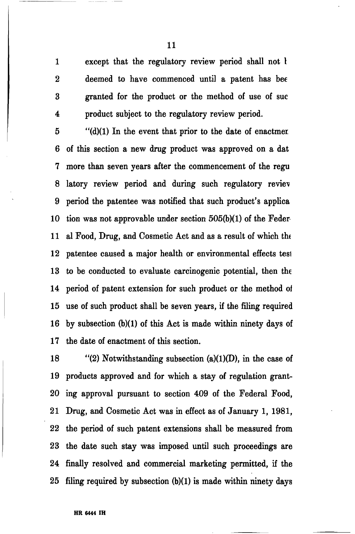1 except that the regulatory review period shall not I 2 deemed to have commenced until a patent has bee 3 granted for the product or the method of use of sue 4 product subject to the regulatory review period.

5 "(d)(1) In the event that prior to the date of enactmer 6 of this section a new drug product was approved on a dat 7 more than seven years after the commencement of the regu 8 latory review period and during such regulatory review 9 period the patentee was notified that such product's applica 10 tion was not approvable under section 505(b)(1) of the Feder 11 al Food, Drug, and Cosmetic Act and as a result of which the 12 patentee caused a major health or environmental effects tesl 13 to be conducted to evaluate carcinogenic potential, then the 14 period of patent extension for such product or the method oi 15 use of such product shall be seven years, if the filing required 16 by subsection (b)(1) of this Act is made within ninety days of 17 the date of enactment of this section.

18 "(2) Notwithstanding subsection (a)(1)(D), in the case of 19 products approved and for which a stay of regulation grant-20 ing approval pursuant to section 409 of the Federal Food, 21 Drug, and Cosmetic Act was in effect as of January 1, 1981, 22 the period of such patent extensions shall be measured from 23 the date such stay was imposed until such proceedings are 24 finally resolved and commercial marketing permitted, if the 25 filing required by subsection (b)(1) is made within ninety days

11